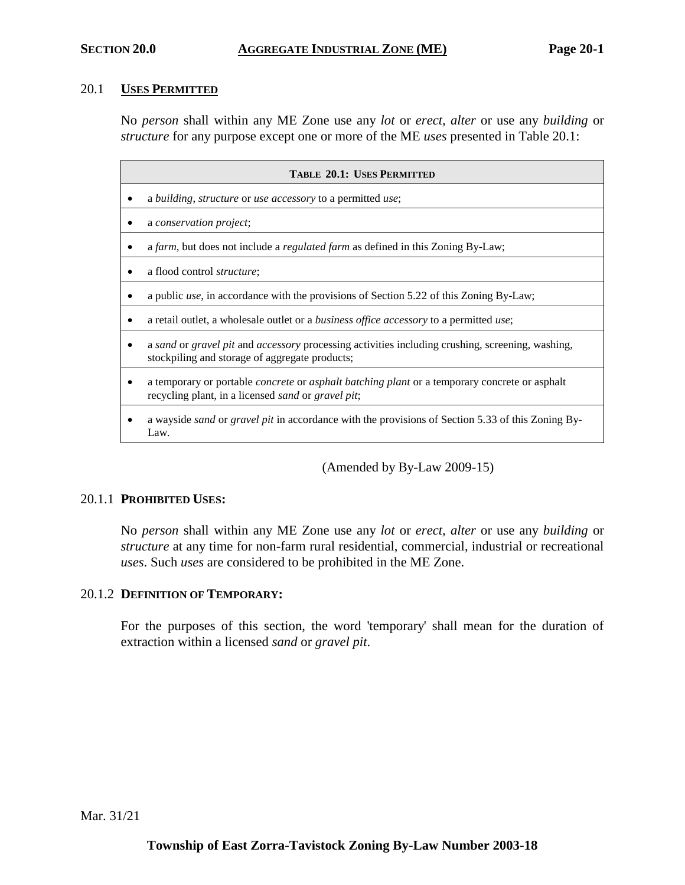#### 20.1 **USES PERMITTED**

No *person* shall within any ME Zone use any *lot* or *erect, alter* or use any *building* or *structure* for any purpose except one or more of the ME *uses* presented in Table 20.1:

| TABLE 20.1: USES PERMITTED |                                                                                                                                                                                  |  |  |
|----------------------------|----------------------------------------------------------------------------------------------------------------------------------------------------------------------------------|--|--|
|                            | a building, structure or use accessory to a permitted use;                                                                                                                       |  |  |
|                            | a conservation project;                                                                                                                                                          |  |  |
|                            | a farm, but does not include a <i>regulated farm</i> as defined in this Zoning By-Law;                                                                                           |  |  |
|                            | a flood control <i>structure</i> ;                                                                                                                                               |  |  |
|                            | a public <i>use</i> , in accordance with the provisions of Section 5.22 of this Zoning By-Law;                                                                                   |  |  |
|                            | a retail outlet, a wholesale outlet or a <i>business office accessory</i> to a permitted <i>use</i> ;                                                                            |  |  |
|                            | a sand or gravel pit and accessory processing activities including crushing, screening, washing,<br>stockpiling and storage of aggregate products;                               |  |  |
|                            | a temporary or portable <i>concrete</i> or <i>asphalt batching plant</i> or a temporary concrete or asphalt<br>recycling plant, in a licensed <i>sand</i> or <i>gravel pit</i> ; |  |  |
|                            | a wayside <i>sand</i> or <i>gravel pit</i> in accordance with the provisions of Section 5.33 of this Zoning By-<br>Law.                                                          |  |  |

(Amended by By-Law 2009-15)

### 20.1.1 **PROHIBITED USES:**

No *person* shall within any ME Zone use any *lot* or *erect, alter* or use any *building* or *structure* at any time for non-farm rural residential, commercial, industrial or recreational *uses*. Such *uses* are considered to be prohibited in the ME Zone.

### 20.1.2 **DEFINITION OF TEMPORARY:**

For the purposes of this section, the word 'temporary' shall mean for the duration of extraction within a licensed *sand* or *gravel pit*.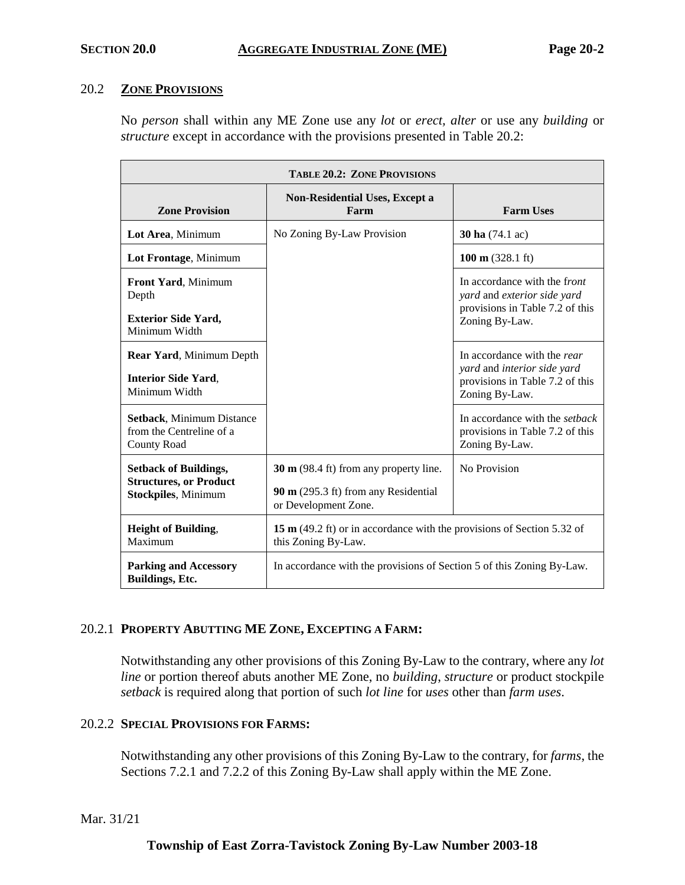### 20.2 **ZONE PROVISIONS**

No *person* shall within any ME Zone use any *lot* or *erect, alter* or use any *building* or *structure* except in accordance with the provisions presented in Table 20.2:

| <b>TABLE 20.2: ZONE PROVISIONS</b>                                                          |                                                                                                                    |                                                                                                                  |  |
|---------------------------------------------------------------------------------------------|--------------------------------------------------------------------------------------------------------------------|------------------------------------------------------------------------------------------------------------------|--|
| <b>Zone Provision</b>                                                                       | <b>Non-Residential Uses, Except a</b><br>Farm                                                                      | <b>Farm Uses</b>                                                                                                 |  |
| Lot Area, Minimum                                                                           | No Zoning By-Law Provision                                                                                         | <b>30 ha</b> (74.1 ac)                                                                                           |  |
| Lot Frontage, Minimum                                                                       |                                                                                                                    | $100 \text{ m}$ (328.1 ft)                                                                                       |  |
| <b>Front Yard, Minimum</b><br>Depth<br><b>Exterior Side Yard,</b><br>Minimum Width          |                                                                                                                    | In accordance with the front<br>yard and exterior side yard<br>provisions in Table 7.2 of this<br>Zoning By-Law. |  |
| <b>Rear Yard, Minimum Depth</b><br><b>Interior Side Yard,</b><br>Minimum Width              |                                                                                                                    | In accordance with the rear<br>yard and interior side yard<br>provisions in Table 7.2 of this<br>Zoning By-Law.  |  |
| Setback, Minimum Distance<br>from the Centreline of a<br><b>County Road</b>                 |                                                                                                                    | In accordance with the setback<br>provisions in Table 7.2 of this<br>Zoning By-Law.                              |  |
| <b>Setback of Buildings,</b><br><b>Structures, or Product</b><br><b>Stockpiles, Minimum</b> | $30 \text{ m}$ (98.4 ft) from any property line.<br>90 $m$ (295.3 ft) from any Residential<br>or Development Zone. | No Provision                                                                                                     |  |
| <b>Height of Building,</b><br>Maximum                                                       | 15 m (49.2 ft) or in accordance with the provisions of Section 5.32 of<br>this Zoning By-Law.                      |                                                                                                                  |  |
| <b>Parking and Accessory</b><br>Buildings, Etc.                                             | In accordance with the provisions of Section 5 of this Zoning By-Law.                                              |                                                                                                                  |  |

### 20.2.1 **PROPERTY ABUTTING ME ZONE, EXCEPTING A FARM:**

Notwithstanding any other provisions of this Zoning By-Law to the contrary, where any *lot line* or portion thereof abuts another ME Zone, no *building*, *structure* or product stockpile *setback* is required along that portion of such *lot line* for *uses* other than *farm uses*.

### 20.2.2 **SPECIAL PROVISIONS FOR FARMS:**

Notwithstanding any other provisions of this Zoning By-Law to the contrary, for *farms*, the Sections 7.2.1 and 7.2.2 of this Zoning By-Law shall apply within the ME Zone.

### Mar. 31/21